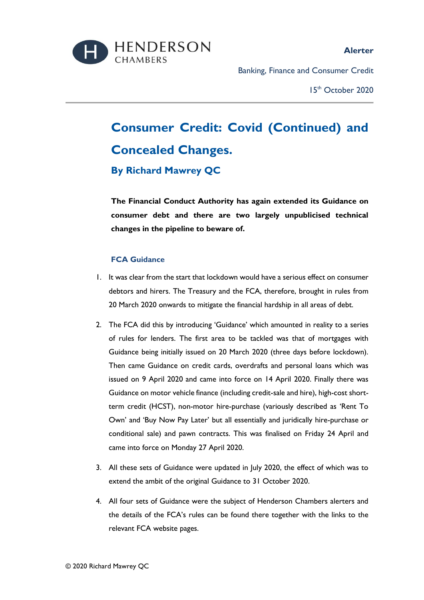

**Alerter**

Banking, Finance and Consumer Credit

15th October 2020

# **Consumer Credit: Covid (Continued) and Concealed Changes. By Richard Mawrey QC**

**The Financial Conduct Authority has again extended its Guidance on consumer debt and there are two largely unpublicised technical changes in the pipeline to beware of.**

# **FCA Guidance**

- 1. It was clear from the start that lockdown would have a serious effect on consumer debtors and hirers. The Treasury and the FCA, therefore, brought in rules from 20 March 2020 onwards to mitigate the financial hardship in all areas of debt.
- 2. The FCA did this by introducing 'Guidance' which amounted in reality to a series of rules for lenders. The first area to be tackled was that of mortgages with Guidance being initially issued on 20 March 2020 (three days before lockdown). Then came Guidance on credit cards, overdrafts and personal loans which was issued on 9 April 2020 and came into force on 14 April 2020. Finally there was Guidance on motor vehicle finance (including credit-sale and hire), high-cost shortterm credit (HCST), non-motor hire-purchase (variously described as 'Rent To Own' and 'Buy Now Pay Later' but all essentially and juridically hire-purchase or conditional sale) and pawn contracts. This was finalised on Friday 24 April and came into force on Monday 27 April 2020.
- 3. All these sets of Guidance were updated in July 2020, the effect of which was to extend the ambit of the original Guidance to 31 October 2020.
- 4. All four sets of Guidance were the subject of Henderson Chambers alerters and the details of the FCA's rules can be found there together with the links to the relevant FCA website pages.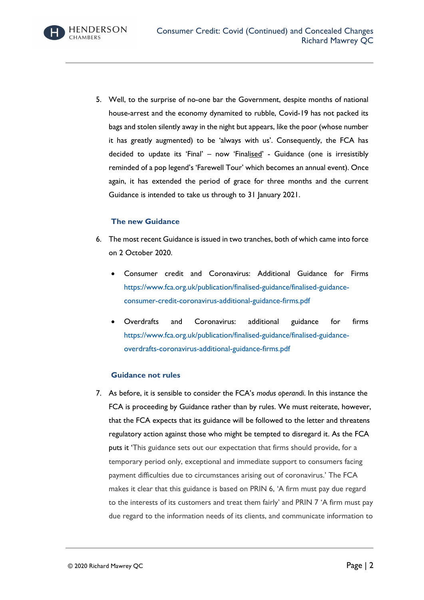Consumer Credit: Covid (Continued) and Concealed Changes Richard Mawrey QC

5. Well, to the surprise of no-one bar the Government, despite months of national house-arrest and the economy dynamited to rubble, Covid-19 has not packed its bags and stolen silently away in the night but appears, like the poor (whose number it has greatly augmented) to be 'always with us'. Consequently, the FCA has decided to update its 'Final' - now 'Finalised' - Guidance (one is irresistibly reminded of a pop legend's 'Farewell Tour' which becomes an annual event). Once again, it has extended the period of grace for three months and the current Guidance is intended to take us through to 31 January 2021.

### **The new Guidance**

- 6. The most recent Guidance is issued in two tranches, both of which came into force on 2 October 2020.
	- Consumer credit and Coronavirus: Additional Guidance for Firms [https://www.fca.org.uk/publication/finalised-guidance/finalised-guidance](https://www.fca.org.uk/publication/finalised-guidance/finalised-guidance-consumer-credit-coronavirus-additional-guidance-firms.pdf)[consumer-credit-coronavirus-additional-guidance-firms.pdf](https://www.fca.org.uk/publication/finalised-guidance/finalised-guidance-consumer-credit-coronavirus-additional-guidance-firms.pdf)
	- Overdrafts and Coronavirus: additional guidance for firms [https://www.fca.org.uk/publication/finalised-guidance/finalised-guidance](https://www.fca.org.uk/publication/finalised-guidance/finalised-guidance-overdrafts-coronavirus-additional-guidance-firms.pdf)[overdrafts-coronavirus-additional-guidance-firms.pdf](https://www.fca.org.uk/publication/finalised-guidance/finalised-guidance-overdrafts-coronavirus-additional-guidance-firms.pdf)

#### **Guidance not rules**

7. As before, it is sensible to consider the FCA's *modus operandi*. In this instance the FCA is proceeding by Guidance rather than by rules. We must reiterate, however, that the FCA expects that its guidance will be followed to the letter and threatens regulatory action against those who might be tempted to disregard it. As the FCA puts it 'This guidance sets out our expectation that firms should provide, for a temporary period only, exceptional and immediate support to consumers facing payment difficulties due to circumstances arising out of coronavirus.' The FCA makes it clear that this guidance is based on PRIN 6, 'A firm must pay due regard to the interests of its customers and treat them fairly' and PRIN 7 'A firm must pay due regard to the information needs of its clients, and communicate information to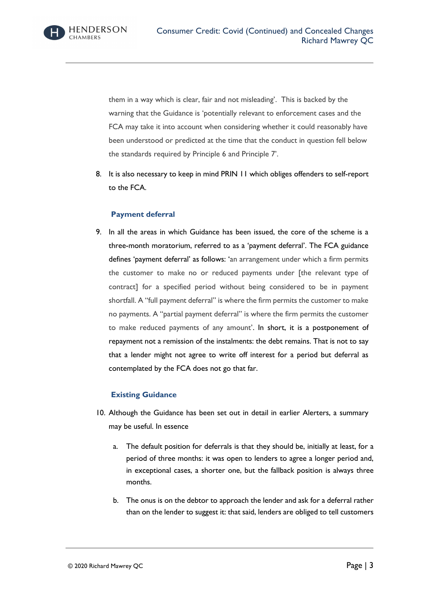them in a way which is clear, fair and not misleading'. This is backed by the warning that the Guidance is 'potentially relevant to enforcement cases and the FCA may take it into account when considering whether it could reasonably have been understood or predicted at the time that the conduct in question fell below the standards required by Principle 6 and Principle 7'.

8. It is also necessary to keep in mind PRIN 11 which obliges offenders to self-report to the FCA.

# **Payment deferral**

9. In all the areas in which Guidance has been issued, the core of the scheme is a three-month moratorium, referred to as a 'payment deferral'. The FCA guidance defines 'payment deferral' as follows: 'an arrangement under which a firm permits the customer to make no or reduced payments under [the relevant type of contract] for a specified period without being considered to be in payment shortfall. A "full payment deferral" is where the firm permits the customer to make no payments. A "partial payment deferral" is where the firm permits the customer to make reduced payments of any amount'. In short, it is a postponement of repayment not a remission of the instalments: the debt remains. That is not to say that a lender might not agree to write off interest for a period but deferral as contemplated by the FCA does not go that far.

# **Existing Guidance**

- 10. Although the Guidance has been set out in detail in earlier Alerters, a summary may be useful. In essence
	- a. The default position for deferrals is that they should be, initially at least, for a period of three months: it was open to lenders to agree a longer period and, in exceptional cases, a shorter one, but the fallback position is always three months.
	- b. The onus is on the debtor to approach the lender and ask for a deferral rather than on the lender to suggest it: that said, lenders are obliged to tell customers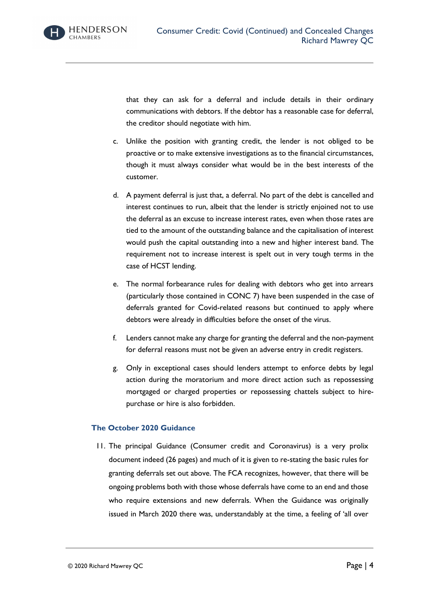that they can ask for a deferral and include details in their ordinary communications with debtors. If the debtor has a reasonable case for deferral, the creditor should negotiate with him.

- c. Unlike the position with granting credit, the lender is not obliged to be proactive or to make extensive investigations as to the financial circumstances, though it must always consider what would be in the best interests of the customer.
- d. A payment deferral is just that, a deferral. No part of the debt is cancelled and interest continues to run, albeit that the lender is strictly enjoined not to use the deferral as an excuse to increase interest rates, even when those rates are tied to the amount of the outstanding balance and the capitalisation of interest would push the capital outstanding into a new and higher interest band. The requirement not to increase interest is spelt out in very tough terms in the case of HCST lending.
- e. The normal forbearance rules for dealing with debtors who get into arrears (particularly those contained in CONC 7) have been suspended in the case of deferrals granted for Covid-related reasons but continued to apply where debtors were already in difficulties before the onset of the virus.
- f. Lenders cannot make any charge for granting the deferral and the non-payment for deferral reasons must not be given an adverse entry in credit registers.
- g. Only in exceptional cases should lenders attempt to enforce debts by legal action during the moratorium and more direct action such as repossessing mortgaged or charged properties or repossessing chattels subject to hirepurchase or hire is also forbidden.

#### **The October 2020 Guidance**

11. The principal Guidance (Consumer credit and Coronavirus) is a very prolix document indeed (26 pages) and much of it is given to re-stating the basic rules for granting deferrals set out above. The FCA recognizes, however, that there will be ongoing problems both with those whose deferrals have come to an end and those who require extensions and new deferrals. When the Guidance was originally issued in March 2020 there was, understandably at the time, a feeling of 'all over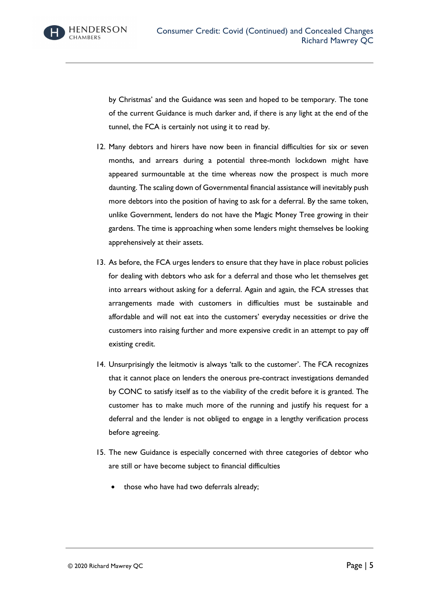

by Christmas' and the Guidance was seen and hoped to be temporary. The tone of the current Guidance is much darker and, if there is any light at the end of the tunnel, the FCA is certainly not using it to read by.

- 12. Many debtors and hirers have now been in financial difficulties for six or seven months, and arrears during a potential three-month lockdown might have appeared surmountable at the time whereas now the prospect is much more daunting. The scaling down of Governmental financial assistance will inevitably push more debtors into the position of having to ask for a deferral. By the same token, unlike Government, lenders do not have the Magic Money Tree growing in their gardens. The time is approaching when some lenders might themselves be looking apprehensively at their assets.
- 13. As before, the FCA urges lenders to ensure that they have in place robust policies for dealing with debtors who ask for a deferral and those who let themselves get into arrears without asking for a deferral. Again and again, the FCA stresses that arrangements made with customers in difficulties must be sustainable and affordable and will not eat into the customers' everyday necessities or drive the customers into raising further and more expensive credit in an attempt to pay off existing credit.
- 14. Unsurprisingly the leitmotiv is always 'talk to the customer'. The FCA recognizes that it cannot place on lenders the onerous pre-contract investigations demanded by CONC to satisfy itself as to the viability of the credit before it is granted. The customer has to make much more of the running and justify his request for a deferral and the lender is not obliged to engage in a lengthy verification process before agreeing.
- 15. The new Guidance is especially concerned with three categories of debtor who are still or have become subject to financial difficulties
	- those who have had two deferrals already;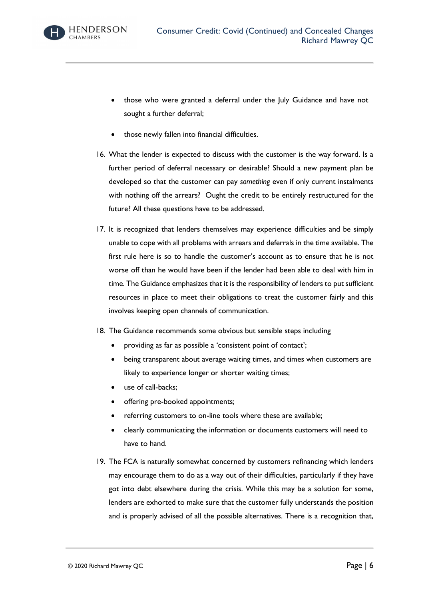

- those who were granted a deferral under the July Guidance and have not sought a further deferral;
- those newly fallen into financial difficulties.
- 16. What the lender is expected to discuss with the customer is the way forward. Is a further period of deferral necessary or desirable? Should a new payment plan be developed so that the customer can pay *something* even if only current instalments with nothing off the arrears? Ought the credit to be entirely restructured for the future? All these questions have to be addressed.
- 17. It is recognized that lenders themselves may experience difficulties and be simply unable to cope with all problems with arrears and deferrals in the time available. The first rule here is so to handle the customer's account as to ensure that he is not worse off than he would have been if the lender had been able to deal with him in time. The Guidance emphasizes that it is the responsibility of lenders to put sufficient resources in place to meet their obligations to treat the customer fairly and this involves keeping open channels of communication.
- 18. The Guidance recommends some obvious but sensible steps including
	- providing as far as possible a 'consistent point of contact';
	- being transparent about average waiting times, and times when customers are likely to experience longer or shorter waiting times;
	- use of call-backs;
	- offering pre-booked appointments;
	- referring customers to on-line tools where these are available;
	- clearly communicating the information or documents customers will need to have to hand.
- 19. The FCA is naturally somewhat concerned by customers refinancing which lenders may encourage them to do as a way out of their difficulties, particularly if they have got into debt elsewhere during the crisis. While this may be a solution for some, lenders are exhorted to make sure that the customer fully understands the position and is properly advised of all the possible alternatives. There is a recognition that,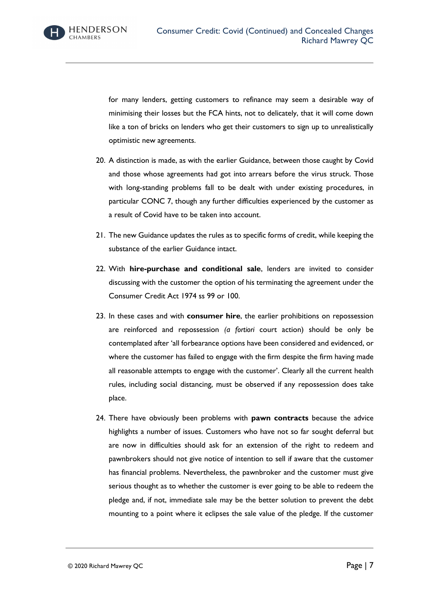

for many lenders, getting customers to refinance may seem a desirable way of minimising their losses but the FCA hints, not to delicately, that it will come down like a ton of bricks on lenders who get their customers to sign up to unrealistically optimistic new agreements.

- 20. A distinction is made, as with the earlier Guidance, between those caught by Covid and those whose agreements had got into arrears before the virus struck. Those with long-standing problems fall to be dealt with under existing procedures, in particular CONC 7, though any further difficulties experienced by the customer as a result of Covid have to be taken into account.
- 21. The new Guidance updates the rules as to specific forms of credit, while keeping the substance of the earlier Guidance intact.
- 22. With **hire-purchase and conditional sale**, lenders are invited to consider discussing with the customer the option of his terminating the agreement under the Consumer Credit Act 1974 ss 99 or 100.
- 23. In these cases and with **consumer hire**, the earlier prohibitions on repossession are reinforced and repossession *(a fortiori* court action) should be only be contemplated after 'all forbearance options have been considered and evidenced, or where the customer has failed to engage with the firm despite the firm having made all reasonable attempts to engage with the customer'. Clearly all the current health rules, including social distancing, must be observed if any repossession does take place.
- 24. There have obviously been problems with **pawn contracts** because the advice highlights a number of issues. Customers who have not so far sought deferral but are now in difficulties should ask for an extension of the right to redeem and pawnbrokers should not give notice of intention to sell if aware that the customer has financial problems. Nevertheless, the pawnbroker and the customer must give serious thought as to whether the customer is ever going to be able to redeem the pledge and, if not, immediate sale may be the better solution to prevent the debt mounting to a point where it eclipses the sale value of the pledge. If the customer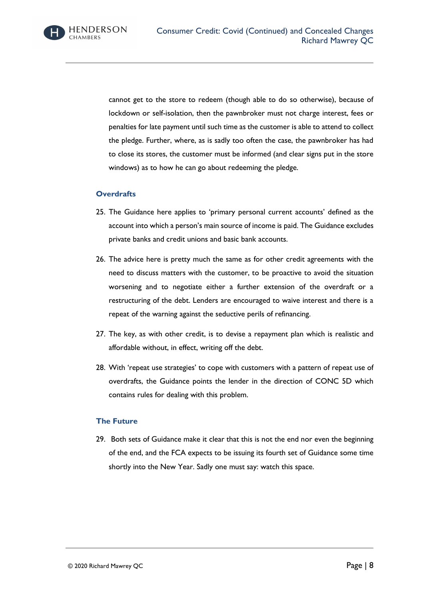

cannot get to the store to redeem (though able to do so otherwise), because of lockdown or self-isolation, then the pawnbroker must not charge interest, fees or penalties for late payment until such time as the customer is able to attend to collect the pledge. Further, where, as is sadly too often the case, the pawnbroker has had to close its stores, the customer must be informed (and clear signs put in the store windows) as to how he can go about redeeming the pledge.

#### **Overdrafts**

- 25. The Guidance here applies to 'primary personal current accounts' defined as the account into which a person's main source of income is paid. The Guidance excludes private banks and credit unions and basic bank accounts.
- 26. The advice here is pretty much the same as for other credit agreements with the need to discuss matters with the customer, to be proactive to avoid the situation worsening and to negotiate either a further extension of the overdraft or a restructuring of the debt. Lenders are encouraged to waive interest and there is a repeat of the warning against the seductive perils of refinancing.
- 27. The key, as with other credit, is to devise a repayment plan which is realistic and affordable without, in effect, writing off the debt.
- 28. With 'repeat use strategies' to cope with customers with a pattern of repeat use of overdrafts, the Guidance points the lender in the direction of CONC 5D which contains rules for dealing with this problem.

#### **The Future**

29. Both sets of Guidance make it clear that this is not the end nor even the beginning of the end, and the FCA expects to be issuing its fourth set of Guidance some time shortly into the New Year. Sadly one must say: watch this space.